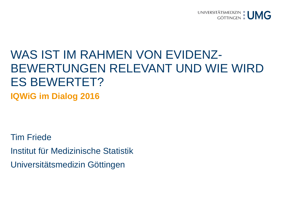

## WAS IST IM RAHMEN VON EVIDENZ-BEWERTUNGEN RELEVANT UND WIE WIRD ES BEWERTET?

**IQWiG im Dialog 2016**

Tim Friede Institut für Medizinische Statistik Universitätsmedizin Göttingen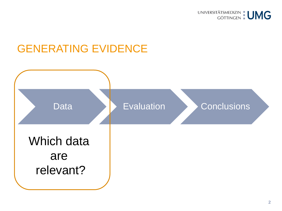

#### GENERATING EVIDENCE

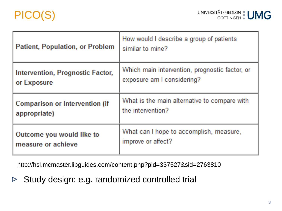

| <b>Patient, Population, or Problem</b> | How would I describe a group of patients<br>similar to mine? |
|----------------------------------------|--------------------------------------------------------------|
| Intervention, Prognostic Factor,       | Which main intervention, prognostic factor, or               |
| or Exposure                            | exposure am I considering?                                   |
| <b>Comparison or Intervention (if</b>  | What is the main alternative to compare with                 |
| appropriate)                           | the intervention?                                            |
| Outcome you would like to              | What can I hope to accomplish, measure,                      |
| measure or achieve                     | improve or affect?                                           |

http://hsl.mcmaster.libguides.com/content.php?pid=337527&sid=2763810

Study design: e.g. randomized controlled trial  $\triangleright$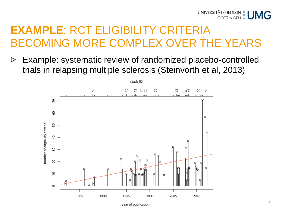

## **EXAMPLE**: RCT ELIGIBILITY CRITERIA BECOMING MORE COMPLEX OVER THE YEARS

Example: systematic review of randomized placebo-controlled  $\triangleright$ trials in relapsing multiple sclerosis (Steinvorth et al, 2013)

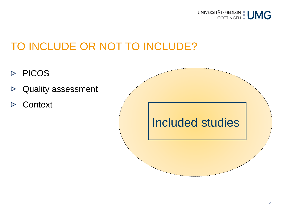

### TO INCLUDE OR NOT TO INCLUDE?

- $\triangleright$  PICOS
- Quality assessment  $\triangleright$
- **Context**  $\triangleright$

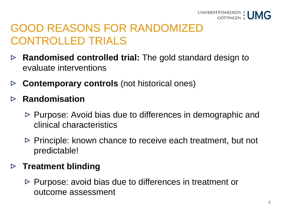

## GOOD REASONS FOR RANDOMIZED CONTROLLED TRIALS

- **Randomised controlled trial:** The gold standard design to  $\triangleright$ evaluate interventions
- **Contemporary controls** (not historical ones)  $\triangleright$

#### **Randomisation**  $\triangleright$

- $\triangleright$  Purpose: Avoid bias due to differences in demographic and clinical characteristics
- $\triangleright$  Principle: known chance to receive each treatment, but not predictable!

#### **Treatment blinding**

 $\triangleright$  Purpose: avoid bias due to differences in treatment or outcome assessment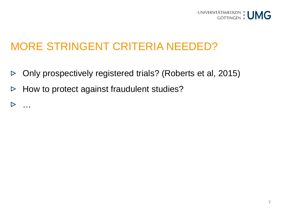

### MORE STRINGENT CRITERIA NEEDED?

- Only prospectively registered trials? (Roberts et al, 2015)  $\triangleright$
- How to protect against fraudulent studies?  $\triangleright$
- …  $\triangleright$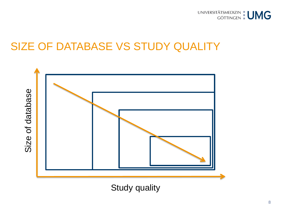

#### SIZE OF DATABASE VS STUDY QUALITY



Study quality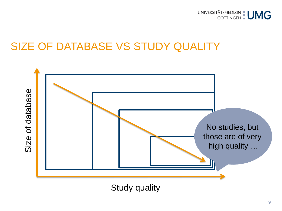

#### SIZE OF DATABASE VS STUDY QUALITY



Study quality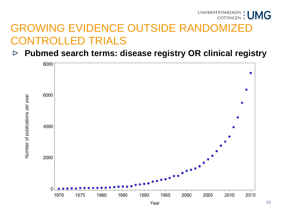## UNIVERSITÄTSMEDIZIN | UMG GROWING EVIDENCE OUTSIDE RANDOMIZED CONTROLLED TRIALS

**Pubmed search terms: disease registry OR clinical registry**   $\triangleright$ 

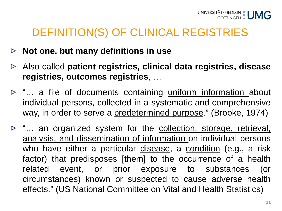### DEFINITION(S) OF CLINICAL REGISTRIES

- **Not one, but many definitions in use**  $\triangleright$
- Also called **patient registries, clinical data registries, disease registries, outcomes registries**, …
- $\triangleright$  "... a file of documents containing uniform information about individual persons, collected in a systematic and comprehensive way, in order to serve a predetermined purpose." (Brooke, 1974)
- $\triangleright$  "... an organized system for the collection, storage, retrieval, analysis, and dissemination of information on individual persons who have either a particular disease, a condition (e.g., a risk factor) that predisposes [them] to the occurrence of a health related event, or prior **exposure** to substances (or circumstances) known or suspected to cause adverse health effects." (US National Committee on Vital and Health Statistics)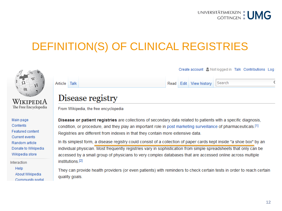

### DEFINITION(S) OF CLINICAL REGISTRIES



Interaction Help About Wikipedia Community portal

They can provide health providers (or even patients) with reminders to check certain tests in order to reach certain quality goals.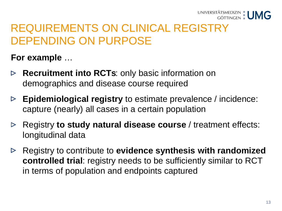

### REQUIREMENTS ON CLINICAL REGISTRY DEPENDING ON PURPOSE

**For example** …

- **Recruitment into RCTs**: only basic information on  $\triangleright$ demographics and disease course required
- **Epidemiological registry** to estimate prevalence / incidence: capture (nearly) all cases in a certain population
- Registry **to study natural disease course** / treatment effects:  $\triangleright$ longitudinal data
- Registry to contribute to **evidence synthesis with randomized controlled trial**: registry needs to be sufficiently similar to RCT in terms of population and endpoints captured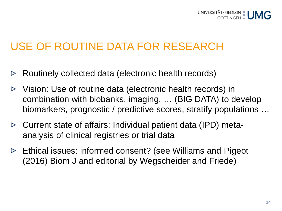

#### USE OF ROUTINE DATA FOR RESEARCH

- Routinely collected data (electronic health records)  $\triangleright$
- Vision: Use of routine data (electronic health records) in ▷ combination with biobanks, imaging, … (BIG DATA) to develop biomarkers, prognostic / predictive scores, stratify populations …
- Current state of affairs: Individual patient data (IPD) meta- $\triangleright$ analysis of clinical registries or trial data
- $\triangleright$  Ethical issues: informed consent? (see Williams and Pigeot (2016) Biom J and editorial by Wegscheider and Friede)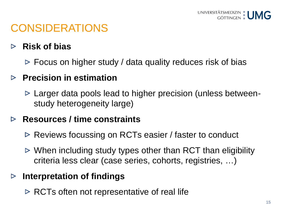## CONSIDERATIONS

#### **Risk of bias**  $\triangleright$

 $\triangleright$  Focus on higher study / data quality reduces risk of bias

#### **Precision in estimation**

 $\triangleright$  Larger data pools lead to higher precision (unless betweenstudy heterogeneity large)

#### **Resources / time constraints**  $\triangleright$

- $\triangleright$  Reviews focussing on RCTs easier / faster to conduct
- $\triangleright$  When including study types other than RCT than eligibility criteria less clear (case series, cohorts, registries, …)

#### **Interpretation of findings**  $\triangleright$

 $\triangleright$  RCTs often not representative of real life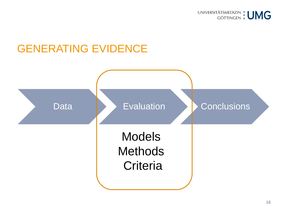

#### GENERATING EVIDENCE

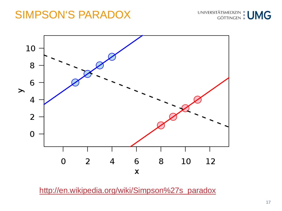#### SIMPSON'S PARADOX





[http://en.wikipedia.org/wiki/Simpson%27s\\_paradox](http://en.wikipedia.org/wiki/Simpson)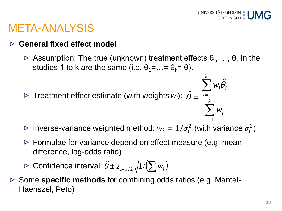$\sum w_i$ 

 $w_i \theta_i$ 

 $\boldsymbol{\hat\gamma}$ 

 $\theta$ 

=

1

*i*

∑

1

*i*

*k*

#### META-ANALYSIS

#### **General fixed effect model**  $\triangleright$

 $\triangleright$  Assumption: The true (unknown) treatment effects  $\theta_1, \ldots, \theta_k$  in the studies 1 to k are the same (i.e.  $\theta_1 = ... = \theta_k = \theta$ ).

Treatment effect estimate (with weights *wi* ):  $=\frac{i=1}{k}$  $\boldsymbol{\hat\gamma}$  $\theta$ 

Inverse-variance weighted method:  $w_i = 1/\sigma_i^2$  (with variance  $\sigma_i^2$ )

- $\triangleright$  Formulae for variance depend on effect measure (e.g. mean difference, log-odds ratio)
- Confidence interval  $\hat{\theta} \pm z_{1-\alpha/2}\sqrt{1/(\sum w_i)}$
- Some **specific methods** for combining odds ratios (e.g. Mantel-Haenszel, Peto)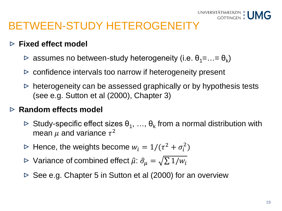### BETWEEN-STUDY HETEROGENEITY

#### **Fixed effect model**

- $\triangleright$  assumes no between-study heterogeneity (i.e.  $\theta_1 = \ldots = \theta_k$ )
- $\triangleright$  confidence intervals too narrow if heterogeneity present
- $\triangleright$  heterogeneity can be assessed graphically or by hypothesis tests (see e.g. Sutton et al (2000), Chapter 3)

#### **Random effects model**

- $\triangleright$  Study-specific effect sizes  $\theta_1, \ldots, \theta_k$  from a normal distribution with mean  $\mu$  and variance  $\tau^2$
- Hence, the weights become  $w_i = 1/(\tau^2 + \sigma_i^2)$
- ► Variance of combined effect  $\hat{\mu}$ :  $\hat{\sigma}_{\mu} = \sqrt{\sum 1/w_i}$
- $\triangleright$  See e.g. Chapter 5 in Sutton et al (2000) for an overview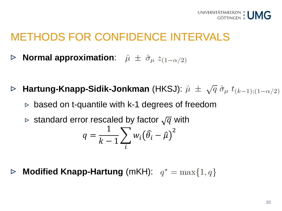### METHODS FOR CONFIDENCE INTERVALS

- **Normal approximation:**  $\hat{\mu} \pm \hat{\sigma}_{\mu} z_{(1-\alpha/2)}$  $\triangleright$
- **Hartung-Knapp-Sidik-Jonkman** (HKSJ):  $\hat{\mu} \pm \sqrt{q} \hat{\sigma}_{\mu} t_{(k-1):(1-\alpha/2)}$  $\triangleright$ 
	- $\triangleright$  based on t-quantile with k-1 degrees of freedom
	- $\triangleright$  standard error rescaled by factor  $\sqrt{q}$  with

$$
q = \frac{1}{k-1} \sum_{i} w_i (\widehat{\theta}_i - \widehat{\mu})^2
$$

**Modified Knapp-Hartung** (mKH):  $q^* = \max\{1, q\}$  $\triangleright$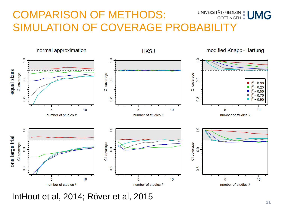#### UNIVERSITÄTSMEDIZIN | UMG COMPARISON OF METHODS: SIMULATION OF COVERAGE PROBABILITY



IntHout et al, 2014; Röver et al, 2015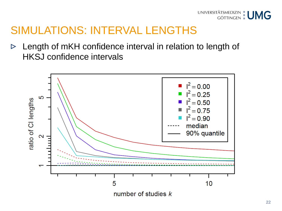

#### SIMULATIONS: INTERVAL LENGTHS

Length of mKH confidence interval in relation to length of  $\triangleright$ HKSJ confidence intervals

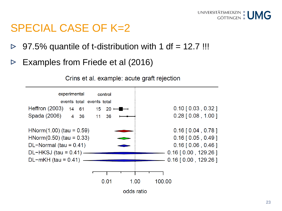

#### SPECIAL CASE OF K=2

- 97.5% quantile of t-distribution with 1 df  $= 12.7$  !!!  $\triangleright$
- Examples from Friede et al (2016)  $\triangleright$



Crins et al. example: acute graft rejection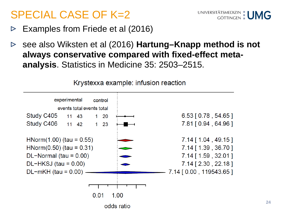### SPECIAL CASE OF K=2



- Examples from Friede et al (2016)  $\triangleright$
- see also Wiksten et al (2016) **Hartung–Knapp method is not**   $\triangleright$ **always conservative compared with fixed-effect metaanalysis**. Statistics in Medicine 35: 2503–2515.



Krystexxa example: infusion reaction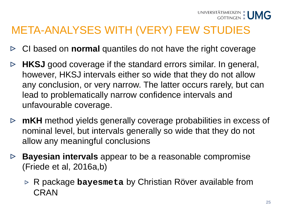## META-ANALYSES WITH (VERY) FEW STUDIES

- CI based on **normal** quantiles do not have the right coverage  $\triangleright$
- **HKSJ** good coverage if the standard errors similar. In general,  $\triangleright$ however, HKSJ intervals either so wide that they do not allow any conclusion, or very narrow. The latter occurs rarely, but can lead to problematically narrow confidence intervals and unfavourable coverage.
- **mKH** method yields generally coverage probabilities in excess of nominal level, but intervals generally so wide that they do not allow any meaningful conclusions
- **Bayesian intervals** appear to be a reasonable compromise (Friede et al, 2016a,b)
	- R package **bayesmeta** by Christian Röver available from CRAN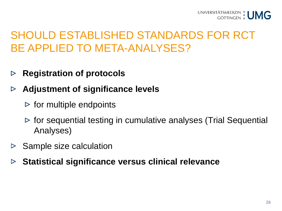### SHOULD ESTABLISHED STANDARDS FOR RCT BE APPLIED TO META-ANALYSES?

- **Registration of protocols**  $\triangleright$
- **Adjustment of significance levels**   $\triangleright$ 
	- $\triangleright$  for multiple endpoints
	- $\triangleright$  for sequential testing in cumulative analyses (Trial Sequential Analyses)
- Sample size calculation  $\triangleright$
- **Statistical significance versus clinical relevance**  $\triangleright$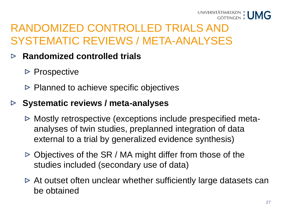

## RANDOMIZED CONTROLLED TRIALS AND SYSTEMATIC REVIEWS / META-ANALYSES

#### **Randomized controlled trials**  $\triangleright$

- $\triangleright$  Prospective
- $\triangleright$  Planned to achieve specific objectives

#### **Systematic reviews / meta-analyses**  $\triangleright$

- $\triangleright$  Mostly retrospective (exceptions include prespecified metaanalyses of twin studies, preplanned integration of data external to a trial by generalized evidence synthesis)
- $\triangleright$  Objectives of the SR / MA might differ from those of the studies included (secondary use of data)
- $\triangleright$  At outset often unclear whether sufficiently large datasets can be obtained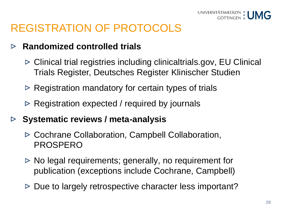

### REGISTRATION OF PROTOCOLS

#### **Randomized controlled trials**  $\triangleright$

- Clinical trial registries including clinicaltrials.gov, EU Clinical Trials Register, Deutsches Register Klinischer Studien
- $\triangleright$  Registration mandatory for certain types of trials
- $\triangleright$  Registration expected / required by journals
- **Systematic reviews / meta-analysis**  $\triangleright$ 
	- Cochrane Collaboration, Campbell Collaboration, PROSPERO
	- $\triangleright$  No legal requirements; generally, no requirement for publication (exceptions include Cochrane, Campbell)
	- $\triangleright$  Due to largely retrospective character less important?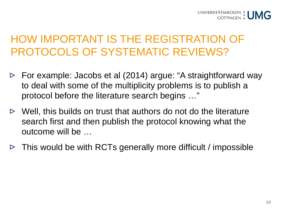## HOW IMPORTANT IS THE REGISTRATION OF PROTOCOLS OF SYSTEMATIC REVIEWS?

- For example: Jacobs et al (2014) argue: "A straightforward way  $\triangleright$ to deal with some of the multiplicity problems is to publish a protocol before the literature search begins …"
- $\triangleright$  Well, this builds on trust that authors do not do the literature search first and then publish the protocol knowing what the outcome will be …
- $\triangleright$  This would be with RCTs generally more difficult / impossible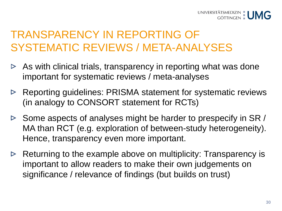### TRANSPARENCY IN REPORTING OF SYSTEMATIC REVIEWS / META-ANALYSES

- $\triangleright$  As with clinical trials, transparency in reporting what was done important for systematic reviews / meta-analyses
- $\triangleright$  Reporting guidelines: PRISMA statement for systematic reviews (in analogy to CONSORT statement for RCTs)
- $\triangleright$  Some aspects of analyses might be harder to prespecify in SR / MA than RCT (e.g. exploration of between-study heterogeneity). Hence, transparency even more important.
- $\triangleright$  Returning to the example above on multiplicity: Transparency is important to allow readers to make their own judgements on significance / relevance of findings (but builds on trust)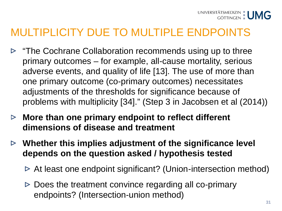- $\triangleright$  "The Cochrane Collaboration recommends using up to three primary outcomes – for example, all-cause mortality, serious adverse events, and quality of life [13]. The use of more than one primary outcome (co-primary outcomes) necessitates adjustments of the thresholds for significance because of problems with multiplicity [34]." (Step 3 in Jacobsen et al (2014))
- **More than one primary endpoint to reflect different dimensions of disease and treatment**
- **Whether this implies adjustment of the significance level depends on the question asked / hypothesis tested** 
	- $\triangleright$  At least one endpoint significant? (Union-intersection method)
	- $\triangleright$  Does the treatment convince regarding all co-primary endpoints? (Intersection-union method)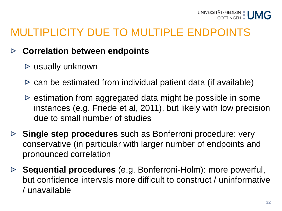#### **Correlation between endpoints**   $\triangleright$

- $\triangleright$  usually unknown
- $\triangleright$  can be estimated from individual patient data (if available)
- $\triangleright$  estimation from aggregated data might be possible in some instances (e.g. Friede et al, 2011), but likely with low precision due to small number of studies
- **Single step procedures** such as Bonferroni procedure: very conservative (in particular with larger number of endpoints and pronounced correlation
- **Sequential procedures** (e.g. Bonferroni-Holm): more powerful, but confidence intervals more difficult to construct / uninformative / unavailable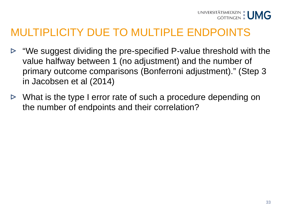- "We suggest dividing the pre-specified P-value threshold with the  $\triangleright$ value halfway between 1 (no adjustment) and the number of primary outcome comparisons (Bonferroni adjustment)." (Step 3 in Jacobsen et al (2014)
- $\triangleright$  What is the type I error rate of such a procedure depending on the number of endpoints and their correlation?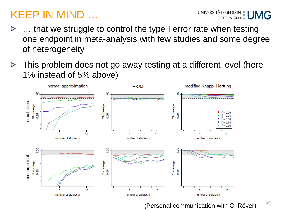### KEEP IN MIND …

- … that we struggle to control the type I error rate when testing one endpoint in meta-analysis with few studies and some degree of heterogeneity
- This problem does not go away testing at a different level (here  $\triangleright$ 1% instead of 5% above)



(Personal communication with C. Röver)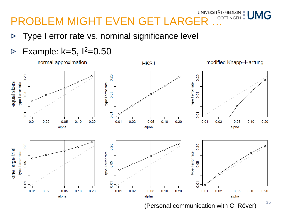#### normal approximation modified Knapp-Hartung **HKSJ**



(Personal communication with C. Röver)

#### **35**

Type I error rate vs. nominal significance level  $\triangleright$ 

#### Example:  $k=5$ ,  $1^2=0.50$  $\triangleright$

# **PROBLEM MIGHT EVEN GET LARGER ... COTTINGEN EUMIG**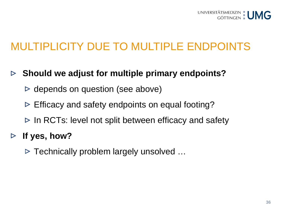

- **Should we adjust for multiple primary endpoints?**  $\triangleright$ 
	- $\triangleright$  depends on question (see above)
	- $\triangleright$  Efficacy and safety endpoints on equal footing?
	- $\triangleright$  In RCTs: level not split between efficacy and safety
- **If yes, how?**  $\triangleright$ 
	- $\triangleright$  Technically problem largely unsolved ...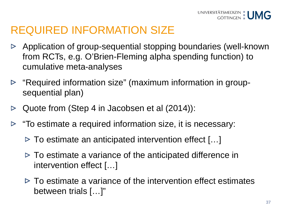## REQUIRED INFORMATION SIZE

- Application of group-sequential stopping boundaries (well-known  $\triangleright$ from RCTs, e.g. O'Brien-Fleming alpha spending function) to cumulative meta-analyses
- $\triangleright$  "Required information size" (maximum information in groupsequential plan)
- Quote from (Step 4 in Jacobsen et al (2014)):  $\triangleright$
- "To estimate a required information size, it is necessary:  $\triangleright$ 
	- $\triangleright$  To estimate an anticipated intervention effect [...]
	- $\triangleright$  To estimate a variance of the anticipated difference in intervention effect […]
	- $\triangleright$  To estimate a variance of the intervention effect estimates between trials […]"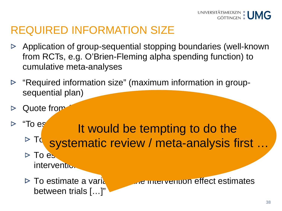

#### REQUIRED INFORMATION SIZE

- Application of group-sequential stopping boundaries (well-known  $\triangleright$ from RCTs, e.g. O'Brien-Fleming alpha spending function) to cumulative meta-analyses
- "Required information size" (maximum information in groupsequential plan)
- Quote from
- "To  $e_s$  it would be tempting to do the To systematic review / meta-analysis first ... It would be tempting to do the
	- $\overline{\text{To es}}$  , we arrive a variance of the anticipated difference in the anticipated difference in the anticipated difference in intervention
	- between trials [...]

 $\triangleright$  To estimate a variance of the intervention effect estimates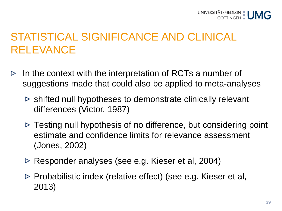## STATISTICAL SIGNIFICANCE AND CLINICAL RELEVANCE

- In the context with the interpretation of RCTs a number of  $\triangleright$ suggestions made that could also be applied to meta-analyses
	- $\triangleright$  shifted null hypotheses to demonstrate clinically relevant differences (Victor, 1987)
	- $\triangleright$  Testing null hypothesis of no difference, but considering point estimate and confidence limits for relevance assessment (Jones, 2002)
	- Responder analyses (see e.g. Kieser et al, 2004)
	- $\triangleright$  Probabilistic index (relative effect) (see e.g. Kieser et al, 2013)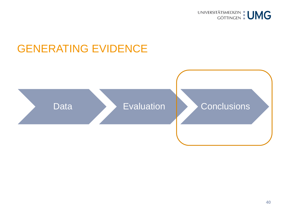

#### GENERATING EVIDENCE

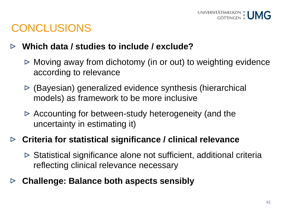

#### **CONCLUSIONS**

#### **Which data / studies to include / exclude?**  $\triangleright$

- $\triangleright$  Moving away from dichotomy (in or out) to weighting evidence according to relevance
- (Bayesian) generalized evidence synthesis (hierarchical models) as framework to be more inclusive
- $\triangleright$  Accounting for between-study heterogeneity (and the uncertainty in estimating it)

#### **Criteria for statistical significance / clinical relevance**

- $\triangleright$  Statistical significance alone not sufficient, additional criteria reflecting clinical relevance necessary
- **Challenge: Balance both aspects sensibly** ▷